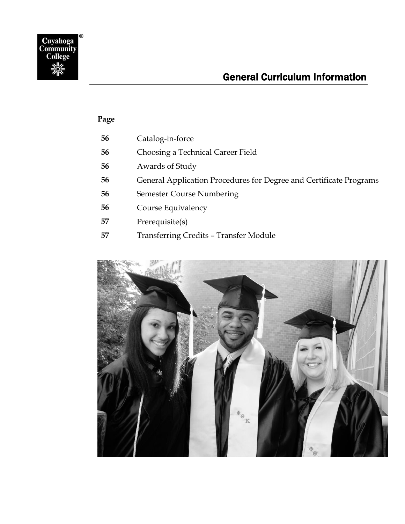

## General Curriculum Information

### **Page**

|  | 56 | Catalog-in-force |
|--|----|------------------|
|--|----|------------------|

- [Choosing a Technical Career Field](#page-1-1)
- [Awards of Study](#page-1-2)
- [General Application Procedures for Degree and Certificate Programs](#page-1-3)
- [Semester Course Numbering](#page-1-4)
- [Course Equivalency](#page-1-5)
- [Prerequisite\(s\)](#page-2-0)
- [Transferring Credits](#page-2-1)  Transfer Module

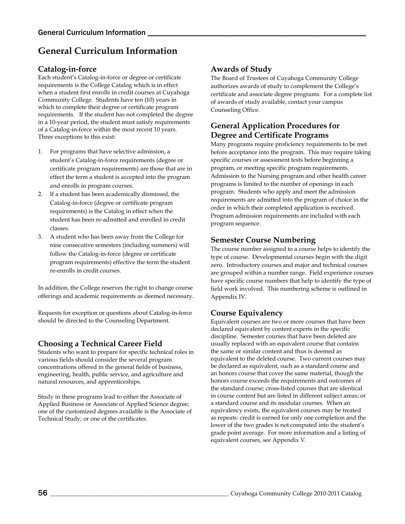## **General Curriculum Information**

### <span id="page-1-0"></span>**Catalog-in-force**

Each student's Catalog-in-force or degree or certificate requirements is the College Catalog which is in effect when a student first enrolls in credit courses at Cuyahoga Community College. Students have ten (10) years in which to complete their degree or certificate program requirements. If the student has not completed the degree in a 10-year period, the student must satisfy requirements of a Catalog-in-force within the most recent 10 years. Three exceptions to this exist:

- 1. For programs that have selective admission, a student's Catalog-in-force requirements (degree or certificate program requirements) are those that are in effect the term a student is accepted into the program and enrolls in program courses.
- 2. If a student has been academically dismissed, the Catalog-in-force (degree or certificate program requirements) is the Catalog in effect when the student has been re-admitted and enrolled in credit classes.
- 3. A student who has been away from the College for nine consecutive semesters (including summers) will follow the Catalog-in-force (degree or certificate program requirements) effective the term the student re-enrolls in credit courses.

In addition, the College reserves the right to change course offerings and academic requirements as deemed necessary.

Requests for exception or questions about Catalog-in-force should be directed to the Counseling Department.

### <span id="page-1-1"></span>**Choosing a Technical Career Field**

Students who want to prepare for specific technical roles in various fields should consider the several program concentrations offered in the general fields of business, engineering, health, public service, and agriculture and natural resources, and apprenticeships.

Study in these programs lead to either the Associate of Applied Business or Associate of Applied Science degree; one of the customized degrees available is the Associate of Technical Study; or one of the certificates.

### <span id="page-1-2"></span>**Awards of Study**

The Board of Trustees of Cuyahoga Community College authorizes awards of study to complement the College's certificate and associate degree programs. For a complete list of awards of study available, contact your campus Counseling Office.

### <span id="page-1-3"></span>**General Application Procedures for Degree and Certificate Programs**

Many programs require proficiency requirements to be met before acceptance into the program. This may require taking specific courses or assessment tests before beginning a program, or meeting specific program requirements. Admission to the Nursing program and other health career programs is limited to the number of openings in each program. Students who apply and meet the admission requirements are admitted into the program of choice in the order in which their completed application is received. Program admission requirements are included with each program sequence.

### <span id="page-1-4"></span>**Semester Course Numbering**

The course number assigned to a course helps to identify the type of course. Developmental courses begin with the digit zero. Introductory courses and major and technical courses are grouped within a number range. Field experience courses have specific course numbers that help to identify the type of field work involved. This numbering scheme is outlined in Appendix IV.

### <span id="page-1-5"></span>**Course Equivalency**

Equivalent courses are two or more courses that have been declared equivalent by content experts in the specific discipline. Semester courses that have been deleted are usually replaced with an equivalent course that contains the same or similar content and thus is deemed as equivalent to the deleted course. Two current courses may be declared as equivalent, such as a standard course and an honors course that cover the same material, though the honors course exceeds the requirements and outcomes of the standard course; cross-listed courses that are identical in course content but are listed in different subject areas; or a standard course and its modular courses. When an equivalency exists, the equivalent courses may be treated as repeats: credit is earned for only one completion and the lower of the two grades is not computed into the student's grade point average. For more information and a listing of equivalent courses, see Appendix V.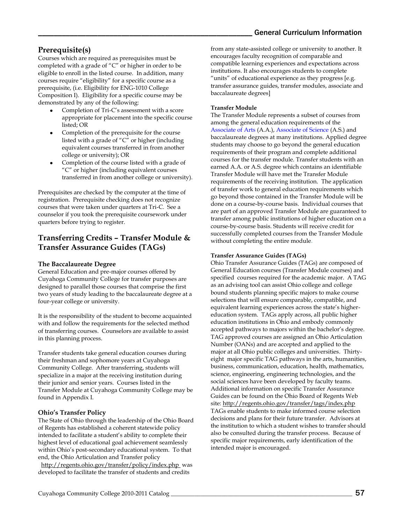### <span id="page-2-0"></span>**Prerequisite(s)**

Courses which are required as prerequisites must be completed with a grade of "C" or higher in order to be eligible to enroll in the listed course. In addition, many courses require "eligibility" for a specific course as a prerequisite, (i.e. Eligibility for ENG-1010 College Composition I). Eligibility for a specific course may be demonstrated by any of the following:

- Completion of Tri-C's assessment with a score appropriate for placement into the specific course listed; OR
- Completion of the prerequisite for the course listed with a grade of "C" or higher (including equivalent courses transferred in from another college or university); OR
- Completion of the course listed with a grade of "C" or higher (including equivalent courses transferred in from another college or university).

Prerequisites are checked by the computer at the time of registration. Prerequisite checking does not recognize courses that were taken under quarters at Tri-C. See a counselor if you took the prerequisite coursework under quarters before trying to register.

### <span id="page-2-1"></span>**Transferring Credits – Transfer Module & Transfer Assurance Guides (TAGs)**

#### **The Baccalaureate Degree**

General Education and pre-major courses offered by Cuyahoga Community College for transfer purposes are designed to parallel those courses that comprise the first two years of study leading to the baccalaureate degree at a four-year college or university.

It is the responsibility of the student to become acquainted with and follow the requirements for the selected method of transferring courses. Counselors are available to assist in this planning process.

Transfer students take general education courses during their freshman and sophomore years at Cuyahoga Community College. After transferring, students will specialize in a major at the receiving institution during their junior and senior years. Courses listed in the Transfer Module at Cuyahoga Community College may be found in Appendix I.

#### **Ohio's Transfer Policy**

The State of Ohio through the leadership of the Ohio Board of Regents has established a coherent statewide policy intended to facilitate a student's ability to complete their highest level of educational goal achievement seamlessly within Ohio's post-secondary educational system. To that end, the Ohio Articulation and Transfer policy <http://regents.ohio.gov/transfer/policy/index.php>was developed to facilitate the transfer of students and credits

from any state-assisted college or university to another. It encourages faculty recognition of comparable and compatible learning experiences and expectations across institutions. It also encourages students to complete "units" of educational experience as they progress [e.g. transfer assurance guides, transfer modules, associate and baccalaureate degrees]

#### **Transfer Module**

The Transfer Module represents a subset of courses from among the general education requirements of the Associate of Arts (A.A.), Associate of Science (A.S.) and baccalaureate degrees at many institutions. Applied degree students may choose to go beyond the general education requirements of their program and complete additional courses for the transfer module. Transfer students with an earned A.A. or A.S. degree which contains an identifiable Transfer Module will have met the Transfer Module requirements of the receiving institution. The application of transfer work to general education requirements which go beyond those contained in the Transfer Module will be done on a course-by-course basis. Individual courses that are part of an approved Transfer Module are guaranteed to transfer among public institutions of higher education on a course-by-course basis. Students will receive credit for successfully completed courses from the Transfer Module without completing the entire module.

#### **Transfer Assurance Guides (TAGs)**

Ohio Transfer Assurance Guides (TAGs) are composed of General Education courses (Transfer Module courses) and specified courses required for the academic major. A TAG as an advising tool can assist Ohio college and college bound students planning specific majors to make course selections that will ensure comparable, compatible, and equivalent learning experiences across the state's highereducation system. TAGs apply across, all public higher education institutions in Ohio and embody commonly accepted pathways to majors within the bachelor's degree. TAG approved courses are assigned an Ohio Articulation Number (OANs) and are accepted and applied to the major at all Ohio public colleges and universities. Thirtyeight major specific TAG pathways in the arts, humanities, business, communication, education, health, mathematics, science, engineering, engineering technologies, and the social sciences have been developed by faculty teams. Additional information on specific Transfer Assurance Guides can be found on the Ohio Board of Regents Web site:<http://regents.ohio.gov/transfer/tags/index.php> TAGs enable students to make informed course selection decisions and plans for their future transfer. Advisors at the institution to which a student wishes to transfer should also be consulted during the transfer process. Because of specific major requirements, early identification of the intended major is encouraged.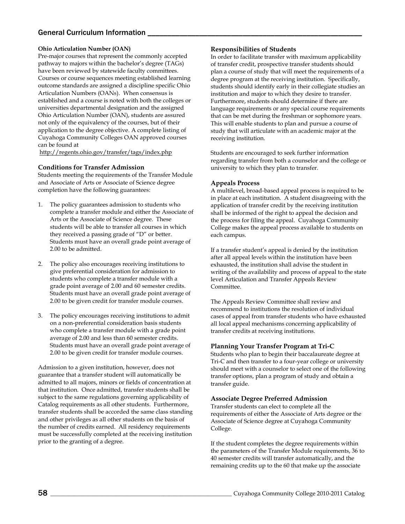### General Curriculum Information

#### **Ohio Articulation Number (OAN)**

Pre-major courses that represent the commonly accepted pathway to majors within the bachelor's degree (TAGs) have been reviewed by statewide faculty committees. Courses or course sequences meeting established learning outcome standards are assigned a discipline specific Ohio Articulation Numbers (OANs). When consensus is established and a course is noted with both the colleges or universities departmental designation and the assigned Ohio Articulation Number (OAN), students are assured not only of the equivalency of the courses, but of their application to the degree objective. A complete listing of Cuyahoga Community Colleges OAN approved courses can be found at

<http://regents.ohio.gov/transfer/tags/index.php>

#### **Conditions for Transfer Admission**

Students meeting the requirements of the Transfer Module and Associate of Arts or Associate of Science degree completion have the following guarantees:

- 1. The policy guarantees admission to students who complete a transfer module and either the Associate of Arts or the Associate of Science degree. These students will be able to transfer all courses in which they received a passing grade of "D" or better. Students must have an overall grade point average of 2.00 to be admitted.
- 2. The policy also encourages receiving institutions to give preferential consideration for admission to students who complete a transfer module with a grade point average of 2.00 and 60 semester credits. Students must have an overall grade point average of 2.00 to be given credit for transfer module courses.
- 3. The policy encourages receiving institutions to admit on a non-preferential consideration basis students who complete a transfer module with a grade point average of 2.00 and less than 60 semester credits. Students must have an overall grade point average of 2.00 to be given credit for transfer module courses.

Admission to a given institution, however, does not guarantee that a transfer student will automatically be admitted to all majors, minors or fields of concentration at that institution. Once admitted, transfer students shall be subject to the same regulations governing applicability of Catalog requirements as all other students. Furthermore, transfer students shall be accorded the same class standing and other privileges as all other students on the basis of the number of credits earned. All residency requirements must be successfully completed at the receiving institution prior to the granting of a degree.

#### **Responsibilities of Students**

In order to facilitate transfer with maximum applicability of transfer credit, prospective transfer students should plan a course of study that will meet the requirements of a degree program at the receiving institution. Specifically, students should identify early in their collegiate studies an institution and major to which they desire to transfer. Furthermore, students should determine if there are language requirements or any special course requirements that can be met during the freshman or sophomore years. This will enable students to plan and pursue a course of study that will articulate with an academic major at the receiving institution.

Students are encouraged to seek further information regarding transfer from both a counselor and the college or university to which they plan to transfer.

#### **Appeals Process**

A multilevel, broad-based appeal process is required to be in place at each institution. A student disagreeing with the application of transfer credit by the receiving institution shall be informed of the right to appeal the decision and the process for filing the appeal. Cuyahoga Community College makes the appeal process available to students on each campus.

If a transfer student's appeal is denied by the institution after all appeal levels within the institution have been exhausted, the institution shall advise the student in writing of the availability and process of appeal to the state level Articulation and Transfer Appeals Review Committee.

The Appeals Review Committee shall review and recommend to institutions the resolution of individual cases of appeal from transfer students who have exhausted all local appeal mechanisms concerning applicability of transfer credits at receiving institutions.

#### **Planning Your Transfer Program at Tri-C**

Students who plan to begin their baccalaureate degree at Tri-C and then transfer to a four-year college or university should meet with a counselor to select one of the following transfer options, plan a program of study and obtain a transfer guide.

#### **Associate Degree Preferred Admission**

Transfer students can elect to complete all the requirements of either the Associate of Arts degree or the Associate of Science degree at Cuyahoga Community College.

If the student completes the degree requirements within the parameters of the Transfer Module requirements, 36 to 40 semester credits will transfer automatically, and the remaining credits up to the 60 that make up the associate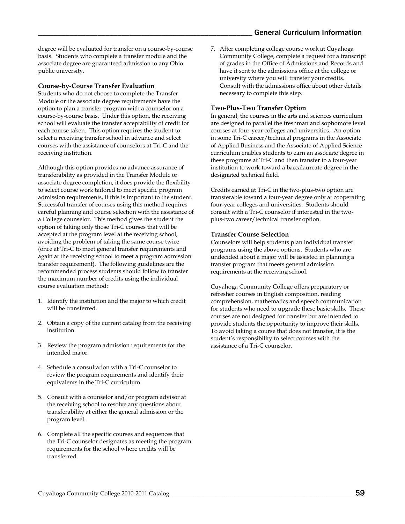degree will be evaluated for transfer on a course-by-course basis. Students who complete a transfer module and the associate degree are guaranteed admission to any Ohio public university.

#### **Course-by-Course Transfer Evaluation**

Students who do not choose to complete the Transfer Module or the associate degree requirements have the option to plan a transfer program with a counselor on a course-by-course basis. Under this option, the receiving school will evaluate the transfer acceptability of credit for each course taken. This option requires the student to select a receiving transfer school in advance and select courses with the assistance of counselors at Tri-C and the receiving institution.

Although this option provides no advance assurance of transferability as provided in the Transfer Module or associate degree completion, it does provide the flexibility to select course work tailored to meet specific program admission requirements, if this is important to the student. Successful transfer of courses using this method requires careful planning and course selection with the assistance of a College counselor. This method gives the student the option of taking only those Tri-C courses that will be accepted at the program level at the receiving school, avoiding the problem of taking the same course twice (once at Tri-C to meet general transfer requirements and again at the receiving school to meet a program admission transfer requirement). The following guidelines are the recommended process students should follow to transfer the maximum number of credits using the individual course evaluation method:

- 1. Identify the institution and the major to which credit will be transferred.
- 2. Obtain a copy of the current catalog from the receiving institution.
- 3. Review the program admission requirements for the intended major.
- 4. Schedule a consultation with a Tri-C counselor to review the program requirements and identify their equivalents in the Tri-C curriculum.
- 5. Consult with a counselor and/or program advisor at the receiving school to resolve any questions about transferability at either the general admission or the program level.
- 6. Complete all the specific courses and sequences that the Tri-C counselor designates as meeting the program requirements for the school where credits will be transferred.

7. After completing college course work at Cuyahoga Community College, complete a request for a transcript of grades in the Office of Admissions and Records and have it sent to the admissions office at the college or university where you will transfer your credits. Consult with the admissions office about other details necessary to complete this step.

#### **Two-Plus-Two Transfer Option**

In general, the courses in the arts and sciences curriculum are designed to parallel the freshman and sophomore level courses at four-year colleges and universities. An option in some Tri-C career/technical programs in the Associate of Applied Business and the Associate of Applied Science curriculum enables students to earn an associate degree in these programs at Tri-C and then transfer to a four-year institution to work toward a baccalaureate degree in the designated technical field.

Credits earned at Tri-C in the two-plus-two option are transferable toward a four-year degree only at cooperating four-year colleges and universities. Students should consult with a Tri-C counselor if interested in the twoplus-two career/technical transfer option.

#### **Transfer Course Selection**

Counselors will help students plan individual transfer programs using the above options. Students who are undecided about a major will be assisted in planning a transfer program that meets general admission requirements at the receiving school.

Cuyahoga Community College offers preparatory or refresher courses in English composition, reading comprehension, mathematics and speech communication for students who need to upgrade these basic skills. These courses are not designed for transfer but are intended to provide students the opportunity to improve their skills. To avoid taking a course that does not transfer, it is the student's responsibility to select courses with the assistance of a Tri-C counselor.